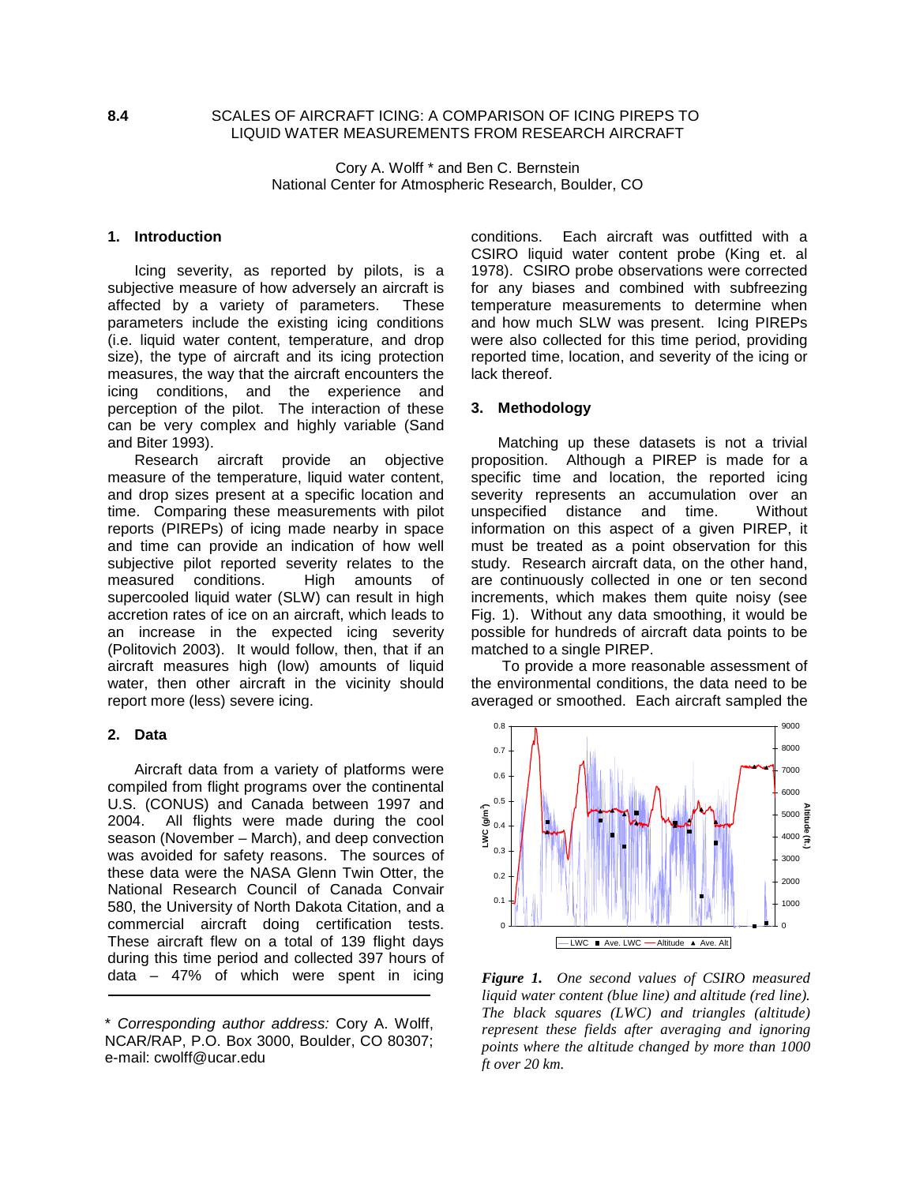# **8.4** SCALES OF AIRCRAFT ICING: A COMPARISON OF ICING PIREPS TO LIQUID WATER MEASUREMENTS FROM RESEARCH AIRCRAFT

Cory A. Wolff \* and Ben C. Bernstein National Center for Atmospheric Research, Boulder, CO

### **1. Introduction**

Icing severity, as reported by pilots, is a subjective measure of how adversely an aircraft is affected by a variety of parameters. These parameters include the existing icing conditions (i.e. liquid water content, temperature, and drop size), the type of aircraft and its icing protection measures, the way that the aircraft encounters the icing conditions, and the experience and perception of the pilot. The interaction of these can be very complex and highly variable (Sand and Biter 1993).

Research aircraft provide an objective measure of the temperature, liquid water content, and drop sizes present at a specific location and time. Comparing these measurements with pilot reports (PIREPs) of icing made nearby in space and time can provide an indication of how well subjective pilot reported severity relates to the measured conditions. High amounts of supercooled liquid water (SLW) can result in high accretion rates of ice on an aircraft, which leads to an increase in the expected icing severity (Politovich 2003). It would follow, then, that if an aircraft measures high (low) amounts of liquid water, then other aircraft in the vicinity should report more (less) severe icing.

#### **2. Data**

Aircraft data from a variety of platforms were compiled from flight programs over the continental U.S. (CONUS) and Canada between 1997 and 2004. All flights were made during the cool season (November – March), and deep convection was avoided for safety reasons. The sources of these data were the NASA Glenn Twin Otter, the National Research Council of Canada Convair 580, the University of North Dakota Citation, and a commercial aircraft doing certification tests. These aircraft flew on a total of 139 flight days during this time period and collected 397 hours of data – 47% of which were spent in icing conditions. Each aircraft was outfitted with a CSIRO liquid water content probe (King et. al 1978). CSIRO probe observations were corrected for any biases and combined with subfreezing temperature measurements to determine when and how much SLW was present. Icing PIREPs were also collected for this time period, providing reported time, location, and severity of the icing or lack thereof.

### **3. Methodology**

Matching up these datasets is not a trivial proposition. Although a PIREP is made for a specific time and location, the reported icing severity represents an accumulation over an unspecified distance and time. Without unspecified distance and time. information on this aspect of a given PIREP, it must be treated as a point observation for this study. Research aircraft data, on the other hand, are continuously collected in one or ten second increments, which makes them quite noisy (see Fig. 1). Without any data smoothing, it would be possible for hundreds of aircraft data points to be matched to a single PIREP.

 To provide a more reasonable assessment of the environmental conditions, the data need to be averaged or smoothed. Each aircraft sampled the



*Figure 1. One second values of CSIRO measured liquid water content (blue line) and altitude (red line). The black squares (LWC) and triangles (altitude) represent these fields after averaging and ignoring points where the altitude changed by more than 1000 ft over 20 km.*

<sup>\*</sup> Corresponding author address: Cory A. Wolff, NCAR/RAP, P.O. Box 3000, Boulder, CO 80307; e-mail: cwolff@ucar.edu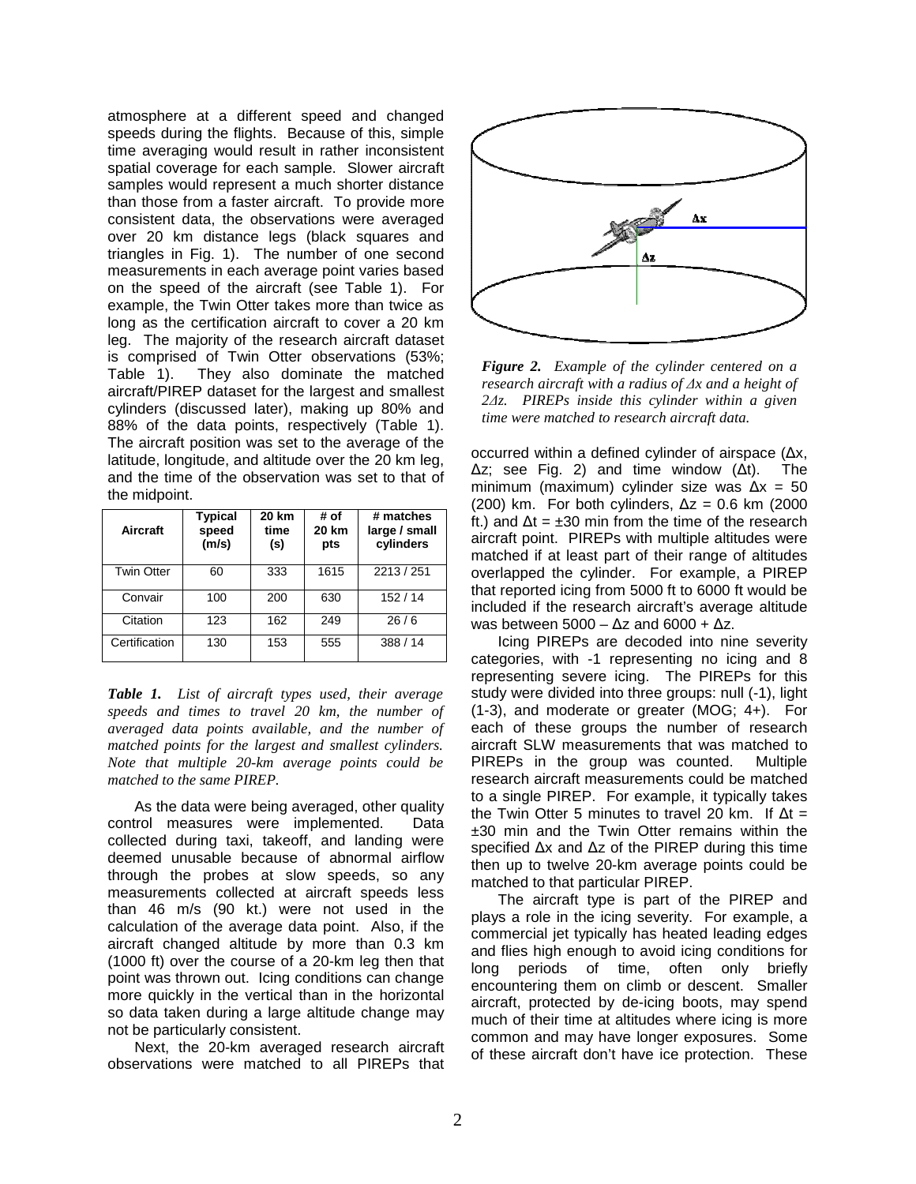atmosphere at a different speed and changed speeds during the flights. Because of this, simple time averaging would result in rather inconsistent spatial coverage for each sample. Slower aircraft samples would represent a much shorter distance than those from a faster aircraft. To provide more consistent data, the observations were averaged over 20 km distance legs (black squares and triangles in Fig. 1). The number of one second measurements in each average point varies based on the speed of the aircraft (see Table 1). For example, the Twin Otter takes more than twice as long as the certification aircraft to cover a 20 km leg. The majority of the research aircraft dataset is comprised of Twin Otter observations (53%; Table 1). They also dominate the matched aircraft/PIREP dataset for the largest and smallest cylinders (discussed later), making up 80% and 88% of the data points, respectively (Table 1). The aircraft position was set to the average of the latitude, longitude, and altitude over the 20 km leg, and the time of the observation was set to that of the midpoint.

| Aircraft          | <b>Typical</b><br>speed<br>(m/s) | 20 km<br>time<br>(s) | # of<br>20 km<br>pts | # matches<br>large / small<br>cylinders |
|-------------------|----------------------------------|----------------------|----------------------|-----------------------------------------|
| <b>Twin Otter</b> | 60                               | 333                  | 1615                 | 2213 / 251                              |
| Convair           | 100                              | 200                  | 630                  | 152/14                                  |
| Citation          | 123                              | 162                  | 249                  | 26/6                                    |
| Certification     | 130                              | 153                  | 555                  | 388 / 14                                |

*Table 1. List of aircraft types used, their average speeds and times to travel 20 km, the number of averaged data points available, and the number of matched points for the largest and smallest cylinders. Note that multiple 20-km average points could be matched to the same PIREP.* 

As the data were being averaged, other quality control measures were implemented. Data collected during taxi, takeoff, and landing were deemed unusable because of abnormal airflow through the probes at slow speeds, so any measurements collected at aircraft speeds less than 46 m/s (90 kt.) were not used in the calculation of the average data point. Also, if the aircraft changed altitude by more than 0.3 km (1000 ft) over the course of a 20-km leg then that point was thrown out. Icing conditions can change more quickly in the vertical than in the horizontal so data taken during a large altitude change may not be particularly consistent.

Next, the 20-km averaged research aircraft observations were matched to all PIREPs that



*Figure 2. Example of the cylinder centered on a research aircraft with a radius of ∆x and a height of 2∆z. PIREPs inside this cylinder within a given time were matched to research aircraft data.*

occurred within a defined cylinder of airspace (∆x, ∆z; see Fig. 2) and time window (∆t). The minimum (maximum) cylinder size was ∆x = 50 (200) km. For both cylinders,  $\Delta z = 0.6$  km (2000 ft.) and  $\Delta t = \pm 30$  min from the time of the research aircraft point. PIREPs with multiple altitudes were matched if at least part of their range of altitudes overlapped the cylinder. For example, a PIREP that reported icing from 5000 ft to 6000 ft would be included if the research aircraft's average altitude was between 5000 –  $\Delta z$  and 6000 +  $\Delta z$ .

Icing PIREPs are decoded into nine severity categories, with -1 representing no icing and 8 representing severe icing. The PIREPs for this study were divided into three groups: null (-1), light (1-3), and moderate or greater (MOG; 4+). For each of these groups the number of research aircraft SLW measurements that was matched to PIREPs in the group was counted. Multiple research aircraft measurements could be matched to a single PIREP. For example, it typically takes the Twin Otter 5 minutes to travel 20 km. If  $\Delta t =$ ±30 min and the Twin Otter remains within the specified ∆x and ∆z of the PIREP during this time then up to twelve 20-km average points could be matched to that particular PIREP.

The aircraft type is part of the PIREP and plays a role in the icing severity. For example, a commercial jet typically has heated leading edges and flies high enough to avoid icing conditions for long periods of time, often only briefly encountering them on climb or descent. Smaller aircraft, protected by de-icing boots, may spend much of their time at altitudes where icing is more common and may have longer exposures. Some of these aircraft don't have ice protection. These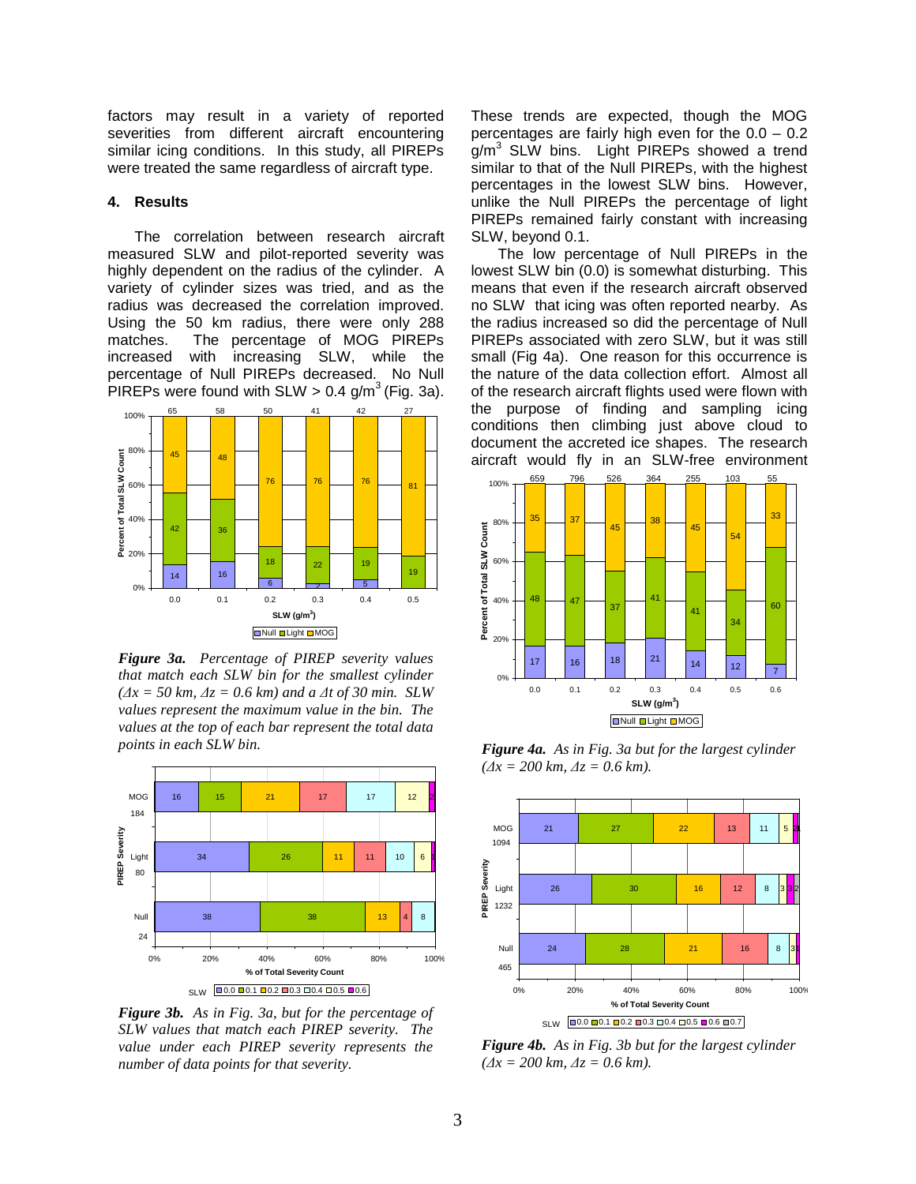factors may result in a variety of reported severities from different aircraft encountering similar icing conditions. In this study, all PIREPs were treated the same regardless of aircraft type.

### **4. Results**

The correlation between research aircraft measured SLW and pilot-reported severity was highly dependent on the radius of the cylinder. A variety of cylinder sizes was tried, and as the radius was decreased the correlation improved. Using the 50 km radius, there were only 288 matches. The percentage of MOG PIREPs increased with increasing SLW, while the percentage of Null PIREPs decreased. No Null PIREPs were found with  $SLW > 0.4$  g/m<sup>3</sup> (Fig. 3a).



*Figure 3a. Percentage of PIREP severity values that match each SLW bin for the smallest cylinder (∆x = 50 km, ∆z = 0.6 km) and a ∆t of 30 min. SLW values represent the maximum value in the bin. The values at the top of each bar represent the total data points in each SLW bin.*



*Figure 3b. As in Fig. 3a, but for the percentage of SLW values that match each PIREP severity. The value under each PIREP severity represents the number of data points for that severity.*

These trends are expected, though the MOG percentages are fairly high even for the 0.0 – 0.2 g/m<sup>3</sup> SLW bins. Light PIREPs showed a trend similar to that of the Null PIREPs, with the highest percentages in the lowest SLW bins. However, unlike the Null PIREPs the percentage of light PIREPs remained fairly constant with increasing SLW, beyond 0.1.

The low percentage of Null PIREPs in the lowest SLW bin (0.0) is somewhat disturbing. This means that even if the research aircraft observed no SLW that icing was often reported nearby. As the radius increased so did the percentage of Null PIREPs associated with zero SLW, but it was still small (Fig 4a). One reason for this occurrence is the nature of the data collection effort. Almost all of the research aircraft flights used were flown with the purpose of finding and sampling icing conditions then climbing just above cloud to document the accreted ice shapes. The research aircraft would fly in an SLW-free environment



*Figure 4a. As in Fig. 3a but for the largest cylinder (∆x = 200 km, ∆z = 0.6 km).* 



*Figure 4b. As in Fig. 3b but for the largest cylinder (∆x = 200 km, ∆z = 0.6 km).*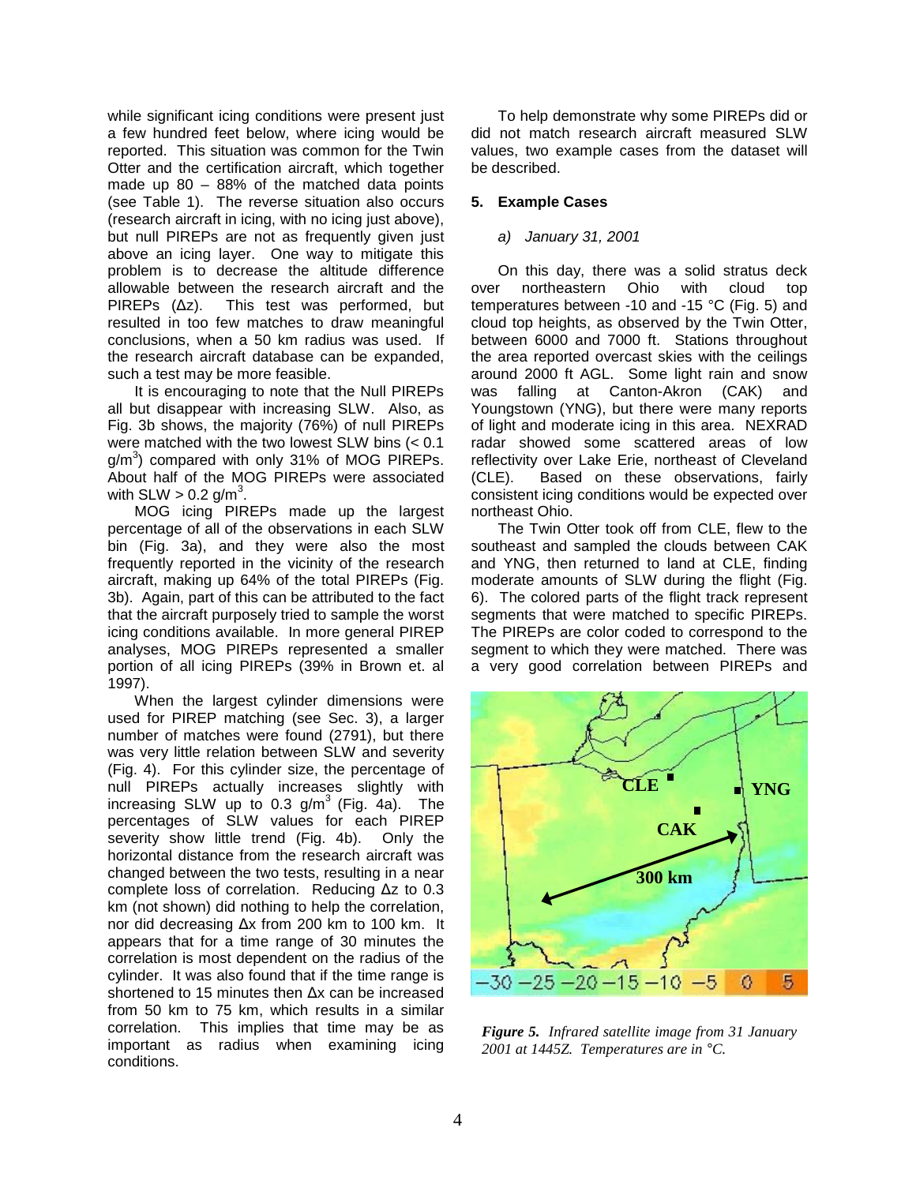while significant icing conditions were present just a few hundred feet below, where icing would be reported. This situation was common for the Twin Otter and the certification aircraft, which together made up 80 – 88% of the matched data points (see Table 1). The reverse situation also occurs (research aircraft in icing, with no icing just above), but null PIREPs are not as frequently given just above an icing layer. One way to mitigate this problem is to decrease the altitude difference allowable between the research aircraft and the PIREPs (∆z). This test was performed, but resulted in too few matches to draw meaningful conclusions, when a 50 km radius was used. If the research aircraft database can be expanded, such a test may be more feasible.

It is encouraging to note that the Null PIREPs all but disappear with increasing SLW. Also, as Fig. 3b shows, the majority (76%) of null PIREPs were matched with the two lowest SLW bins (< 0.1  $g/m<sup>3</sup>$ ) compared with only 31% of MOG PIREPs. About half of the MOG PIREPs were associated with  $SLW > 0.2$  g/m<sup>3</sup>.

MOG icing PIREPs made up the largest percentage of all of the observations in each SLW bin (Fig. 3a), and they were also the most frequently reported in the vicinity of the research aircraft, making up 64% of the total PIREPs (Fig. 3b). Again, part of this can be attributed to the fact that the aircraft purposely tried to sample the worst icing conditions available. In more general PIREP analyses, MOG PIREPs represented a smaller portion of all icing PIREPs (39% in Brown et. al 1997).

When the largest cylinder dimensions were used for PIREP matching (see Sec. 3), a larger number of matches were found (2791), but there was very little relation between SLW and severity (Fig. 4). For this cylinder size, the percentage of null PIREPs actually increases slightly with increasing SLW up to 0.3  $g/m^3$  (Fig. 4a). The percentages of SLW values for each PIREP severity show little trend (Fig. 4b). Only the horizontal distance from the research aircraft was changed between the two tests, resulting in a near complete loss of correlation. Reducing ∆z to 0.3 km (not shown) did nothing to help the correlation, nor did decreasing ∆x from 200 km to 100 km. It appears that for a time range of 30 minutes the correlation is most dependent on the radius of the cylinder. It was also found that if the time range is shortened to 15 minutes then ∆x can be increased from 50 km to 75 km, which results in a similar correlation. This implies that time may be as important as radius when examining icing conditions.

To help demonstrate why some PIREPs did or did not match research aircraft measured SLW values, two example cases from the dataset will be described.

# **5. Example Cases**

# a) January 31, 2001

On this day, there was a solid stratus deck over northeastern Ohio with cloud top temperatures between -10 and -15 °C (Fig. 5) and cloud top heights, as observed by the Twin Otter, between 6000 and 7000 ft. Stations throughout the area reported overcast skies with the ceilings around 2000 ft AGL. Some light rain and snow was falling at Canton-Akron (CAK) and Youngstown (YNG), but there were many reports of light and moderate icing in this area. NEXRAD radar showed some scattered areas of low reflectivity over Lake Erie, northeast of Cleveland (CLE). Based on these observations, fairly consistent icing conditions would be expected over northeast Ohio.

The Twin Otter took off from CLE, flew to the southeast and sampled the clouds between CAK and YNG, then returned to land at CLE, finding moderate amounts of SLW during the flight (Fig. 6). The colored parts of the flight track represent segments that were matched to specific PIREPs. The PIREPs are color coded to correspond to the segment to which they were matched. There was a very good correlation between PIREPs and



*Figure 5. Infrared satellite image from 31 January 2001 at 1445Z. Temperatures are in* °*C.*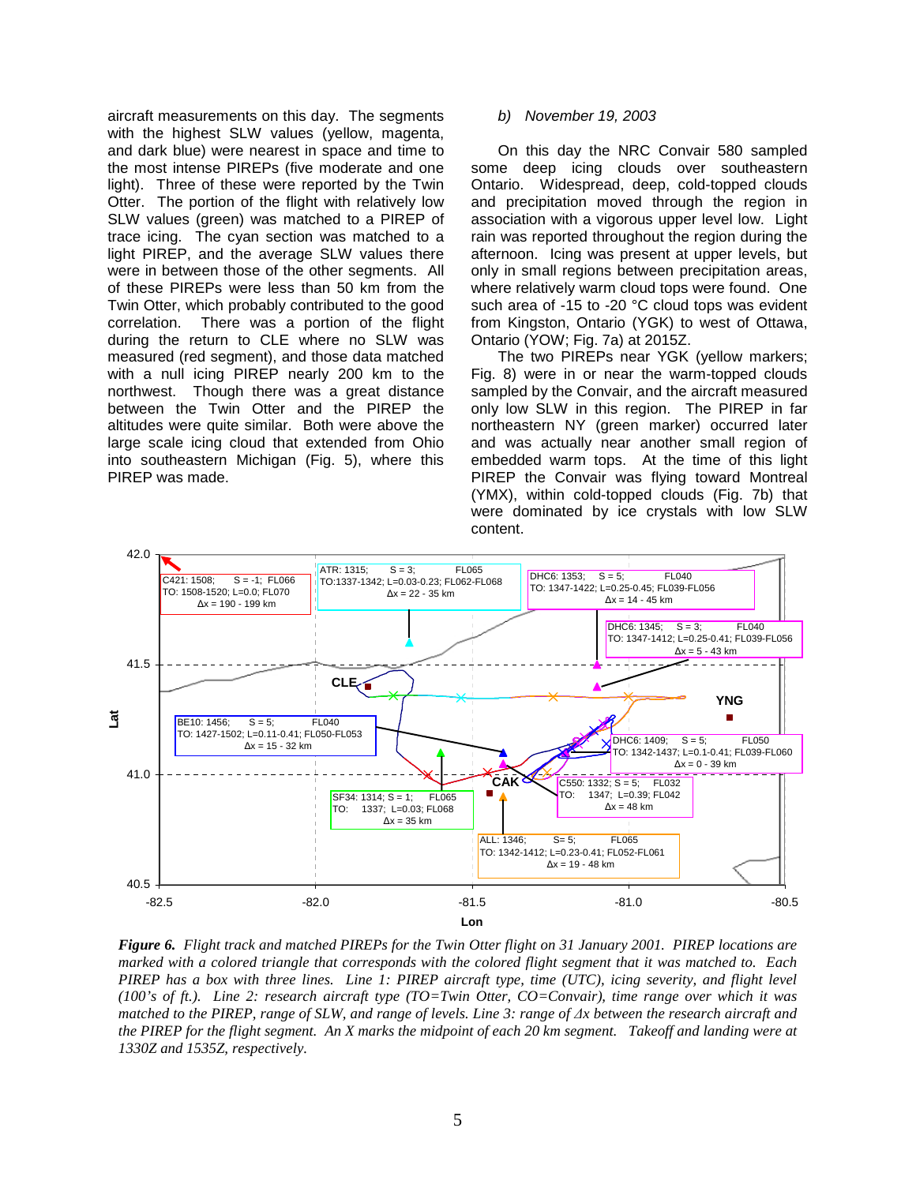aircraft measurements on this day. The segments with the highest SLW values (yellow, magenta, and dark blue) were nearest in space and time to the most intense PIREPs (five moderate and one light). Three of these were reported by the Twin Otter. The portion of the flight with relatively low SLW values (green) was matched to a PIREP of trace icing. The cyan section was matched to a light PIREP, and the average SLW values there were in between those of the other segments. All of these PIREPs were less than 50 km from the Twin Otter, which probably contributed to the good correlation. There was a portion of the flight during the return to CLE where no SLW was measured (red segment), and those data matched with a null icing PIREP nearly 200 km to the northwest. Though there was a great distance between the Twin Otter and the PIREP the altitudes were quite similar. Both were above the large scale icing cloud that extended from Ohio into southeastern Michigan (Fig. 5), where this PIREP was made.

### b) November 19, 2003

On this day the NRC Convair 580 sampled some deep icing clouds over southeastern Ontario. Widespread, deep, cold-topped clouds and precipitation moved through the region in association with a vigorous upper level low. Light rain was reported throughout the region during the afternoon. Icing was present at upper levels, but only in small regions between precipitation areas, where relatively warm cloud tops were found. One such area of -15 to -20 °C cloud tops was evident from Kingston, Ontario (YGK) to west of Ottawa, Ontario (YOW; Fig. 7a) at 2015Z.

The two PIREPs near YGK (yellow markers; Fig. 8) were in or near the warm-topped clouds sampled by the Convair, and the aircraft measured only low SLW in this region. The PIREP in far northeastern NY (green marker) occurred later and was actually near another small region of embedded warm tops. At the time of this light PIREP the Convair was flying toward Montreal (YMX), within cold-topped clouds (Fig. 7b) that were dominated by ice crystals with low SLW content.



*Figure 6. Flight track and matched PIREPs for the Twin Otter flight on 31 January 2001. PIREP locations are marked with a colored triangle that corresponds with the colored flight segment that it was matched to. Each PIREP has a box with three lines. Line 1: PIREP aircraft type, time (UTC), icing severity, and flight level (100's of ft.). Line 2: research aircraft type (TO=Twin Otter, CO=Convair), time range over which it was matched to the PIREP, range of SLW, and range of levels. Line 3: range of*  $\Delta x$  *between the research aircraft and the PIREP for the flight segment. An X marks the midpoint of each 20 km segment. Takeoff and landing were at 1330Z and 1535Z, respectively.*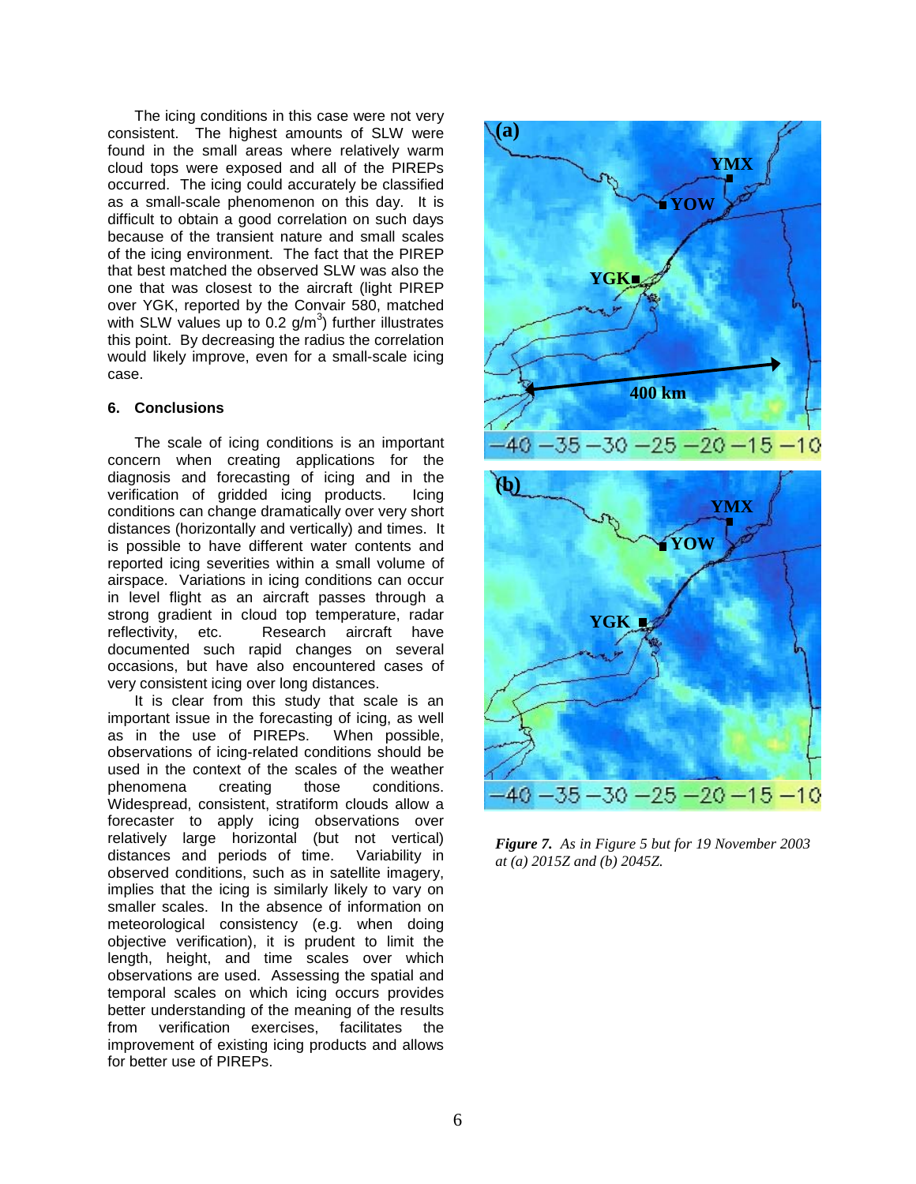The icing conditions in this case were not very consistent. The highest amounts of SLW were found in the small areas where relatively warm cloud tops were exposed and all of the PIREPs occurred. The icing could accurately be classified as a small-scale phenomenon on this day. It is difficult to obtain a good correlation on such days because of the transient nature and small scales of the icing environment. The fact that the PIREP that best matched the observed SLW was also the one that was closest to the aircraft (light PIREP over YGK, reported by the Convair 580, matched with SLW values up to 0.2  $g/m<sup>3</sup>$ ) further illustrates this point. By decreasing the radius the correlation would likely improve, even for a small-scale icing case.

# **6. Conclusions**

The scale of icing conditions is an important concern when creating applications for the diagnosis and forecasting of icing and in the verification of gridded icing products. Icing conditions can change dramatically over very short distances (horizontally and vertically) and times. It is possible to have different water contents and reported icing severities within a small volume of airspace. Variations in icing conditions can occur in level flight as an aircraft passes through a strong gradient in cloud top temperature, radar reflectivity, etc. Research aircraft have documented such rapid changes on several occasions, but have also encountered cases of very consistent icing over long distances.

It is clear from this study that scale is an important issue in the forecasting of icing, as well<br>as in the use of PIREPs. When possible, as in the use of PIREPs. observations of icing-related conditions should be used in the context of the scales of the weather phenomena creating those conditions. Widespread, consistent, stratiform clouds allow a forecaster to apply icing observations over relatively large horizontal (but not vertical) distances and periods of time. Variability in observed conditions, such as in satellite imagery, implies that the icing is similarly likely to vary on smaller scales. In the absence of information on meteorological consistency (e.g. when doing objective verification), it is prudent to limit the length, height, and time scales over which observations are used. Assessing the spatial and temporal scales on which icing occurs provides better understanding of the meaning of the results<br>from verification exercises. facilitates the verification exercises, facilitates the improvement of existing icing products and allows for better use of PIREPs.



*Figure 7. As in Figure 5 but for 19 November 2003 at (a) 2015Z and (b) 2045Z.*